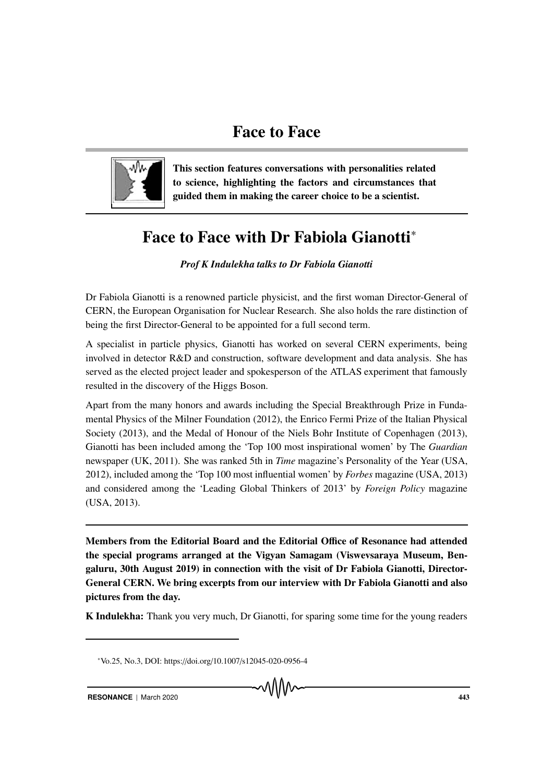

This section features conversations with personalities related to science, highlighting the factors and circumstances that guided them in making the career choice to be a scientist.

## Face to Face with Dr Fabiola Gianotti<sup>∗</sup>

*Prof K Indulekha talks to Dr Fabiola Gianotti*

Dr Fabiola Gianotti is a renowned particle physicist, and the first woman Director-General of CERN, the European Organisation for Nuclear Research. She also holds the rare distinction of being the first Director-General to be appointed for a full second term.

A specialist in particle physics, Gianotti has worked on several CERN experiments, being involved in detector R&D and construction, software development and data analysis. She has served as the elected project leader and spokesperson of the ATLAS experiment that famously resulted in the discovery of the Higgs Boson.

Apart from the many honors and awards including the Special Breakthrough Prize in Fundamental Physics of the Milner Foundation (2012), the Enrico Fermi Prize of the Italian Physical Society (2013), and the Medal of Honour of the Niels Bohr Institute of Copenhagen (2013), Gianotti has been included among the 'Top 100 most inspirational women' by The *Guardian* newspaper (UK, 2011). She was ranked 5th in *Time* magazine's Personality of the Year (USA, 2012), included among the 'Top 100 most influential women' by *Forbes* magazine (USA, 2013) and considered among the 'Leading Global Thinkers of 2013' by *Foreign Policy* magazine (USA, 2013).

Members from the Editorial Board and the Editorial Office of Resonance had attended the special programs arranged at the Vigyan Samagam (Viswevsaraya Museum, Bengaluru, 30th August 2019) in connection with the visit of Dr Fabiola Gianotti, Director-General CERN. We bring excerpts from our interview with Dr Fabiola Gianotti and also pictures from the day.

K Indulekha: Thank you very much, Dr Gianotti, for sparing some time for the young readers

<sup>∗</sup>Vo.25, No.3, DOI: https://doi.org/10.1007/s12045-020-0956-4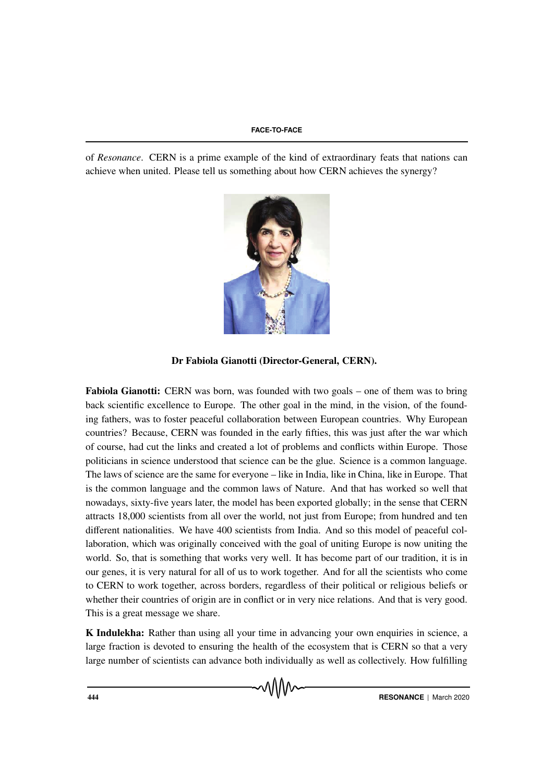of *Resonance*. CERN is a prime example of the kind of extraordinary feats that nations can achieve when united. Please tell us something about how CERN achieves the synergy?



Dr Fabiola Gianotti (Director-General, CERN).

Fabiola Gianotti: CERN was born, was founded with two goals – one of them was to bring back scientific excellence to Europe. The other goal in the mind, in the vision, of the founding fathers, was to foster peaceful collaboration between European countries. Why European countries? Because, CERN was founded in the early fifties, this was just after the war which of course, had cut the links and created a lot of problems and conflicts within Europe. Those politicians in science understood that science can be the glue. Science is a common language. The laws of science are the same for everyone – like in India, like in China, like in Europe. That is the common language and the common laws of Nature. And that has worked so well that nowadays, sixty-five years later, the model has been exported globally; in the sense that CERN attracts 18,000 scientists from all over the world, not just from Europe; from hundred and ten different nationalities. We have 400 scientists from India. And so this model of peaceful collaboration, which was originally conceived with the goal of uniting Europe is now uniting the world. So, that is something that works very well. It has become part of our tradition, it is in our genes, it is very natural for all of us to work together. And for all the scientists who come to CERN to work together, across borders, regardless of their political or religious beliefs or whether their countries of origin are in conflict or in very nice relations. And that is very good. This is a great message we share.

K Indulekha: Rather than using all your time in advancing your own enquiries in science, a large fraction is devoted to ensuring the health of the ecosystem that is CERN so that a very large number of scientists can advance both individually as well as collectively. How fulfilling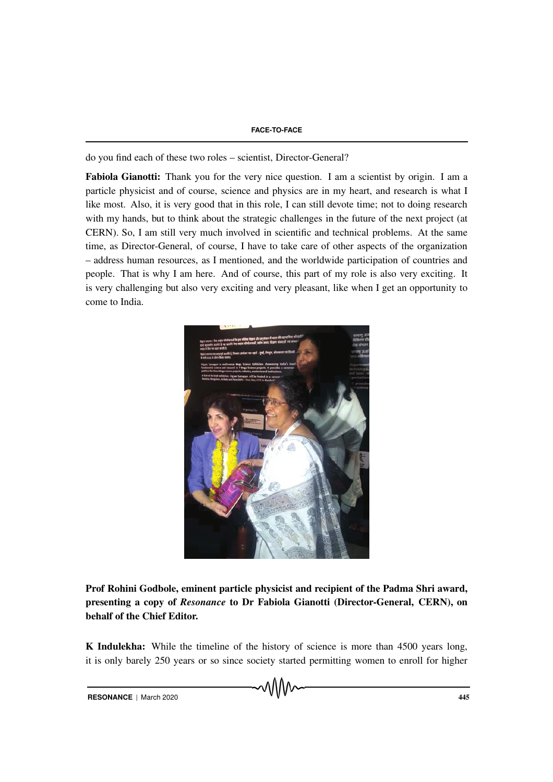do you find each of these two roles – scientist, Director-General?

Fabiola Gianotti: Thank you for the very nice question. I am a scientist by origin. I am a particle physicist and of course, science and physics are in my heart, and research is what I like most. Also, it is very good that in this role, I can still devote time; not to doing research with my hands, but to think about the strategic challenges in the future of the next project (at CERN). So, I am still very much involved in scientific and technical problems. At the same time, as Director-General, of course, I have to take care of other aspects of the organization – address human resources, as I mentioned, and the worldwide participation of countries and people. That is why I am here. And of course, this part of my role is also very exciting. It is very challenging but also very exciting and very pleasant, like when I get an opportunity to come to India.



Prof Rohini Godbole, eminent particle physicist and recipient of the Padma Shri award, presenting a copy of *Resonance* to Dr Fabiola Gianotti (Director-General, CERN), on behalf of the Chief Editor.

K Indulekha: While the timeline of the history of science is more than 4500 years long, it is only barely 250 years or so since society started permitting women to enroll for higher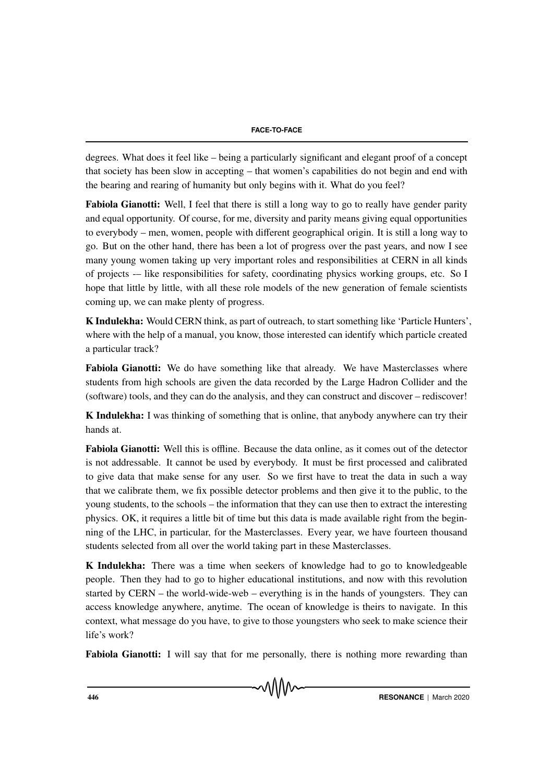degrees. What does it feel like – being a particularly significant and elegant proof of a concept that society has been slow in accepting – that women's capabilities do not begin and end with the bearing and rearing of humanity but only begins with it. What do you feel?

Fabiola Gianotti: Well, I feel that there is still a long way to go to really have gender parity and equal opportunity. Of course, for me, diversity and parity means giving equal opportunities to everybody – men, women, people with different geographical origin. It is still a long way to go. But on the other hand, there has been a lot of progress over the past years, and now I see many young women taking up very important roles and responsibilities at CERN in all kinds of projects -– like responsibilities for safety, coordinating physics working groups, etc. So I hope that little by little, with all these role models of the new generation of female scientists coming up, we can make plenty of progress.

K Indulekha: Would CERN think, as part of outreach, to start something like 'Particle Hunters', where with the help of a manual, you know, those interested can identify which particle created a particular track?

Fabiola Gianotti: We do have something like that already. We have Masterclasses where students from high schools are given the data recorded by the Large Hadron Collider and the (software) tools, and they can do the analysis, and they can construct and discover – rediscover!

K Indulekha: I was thinking of something that is online, that anybody anywhere can try their hands at.

Fabiola Gianotti: Well this is offline. Because the data online, as it comes out of the detector is not addressable. It cannot be used by everybody. It must be first processed and calibrated to give data that make sense for any user. So we first have to treat the data in such a way that we calibrate them, we fix possible detector problems and then give it to the public, to the young students, to the schools – the information that they can use then to extract the interesting physics. OK, it requires a little bit of time but this data is made available right from the beginning of the LHC, in particular, for the Masterclasses. Every year, we have fourteen thousand students selected from all over the world taking part in these Masterclasses.

K Indulekha: There was a time when seekers of knowledge had to go to knowledgeable people. Then they had to go to higher educational institutions, and now with this revolution started by CERN – the world-wide-web – everything is in the hands of youngsters. They can access knowledge anywhere, anytime. The ocean of knowledge is theirs to navigate. In this context, what message do you have, to give to those youngsters who seek to make science their life's work?

Fabiola Gianotti: I will say that for me personally, there is nothing more rewarding than